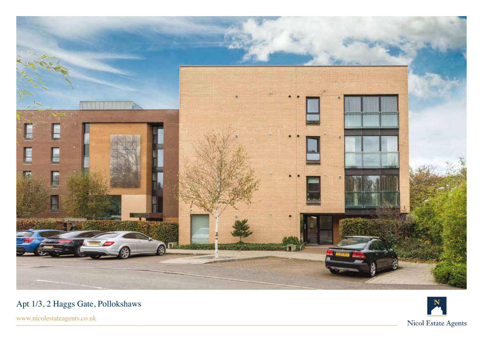





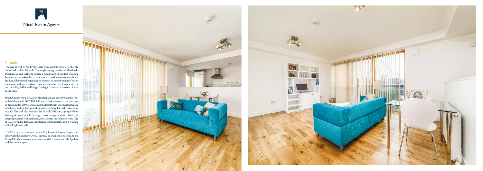

## **Situation**

The area is well served by first class train and bus services to the city centre and to East Kilbride. The neighbouring suburbs of Shawlands, Pollokshields and Giffnock provide a broad range of excellent shopping facilities, supermarkets, fine restaurants, bars and numerous recreational facilities. Silverburn shopping centre provides an extensive range of shops, restaurants and supermarkets. There are a number of golf courses in the area including Pollok and Haggs Castle golf clubs and a selection of local health clubs.

Pollok Country Park is Glasgow's largest park and the only Country Park within Glasgow. In 2006 Pollok Country Park was named the best park in Britain and in 2008, it was named the Best Park in Europe. Its extensive woodlands and gardens provide a quiet sanctuary for both visitors and wildlife. The park also contains the Burrell Collection, a purpose-built building designed to hold the large, eclectic antique and art collection of shipping magnate William Burrell, who donated the collection to the City of Glasgow on his death. Another feature of interest is the award-winning fold of Highland cattle.

The M77 provides commuter to the City Centre, Glasgow Airport and along with the Southern Orbital provides an excellent connection to the Central Scotland motorway network as well as south towards Ayrshire and Prestwick Airport.



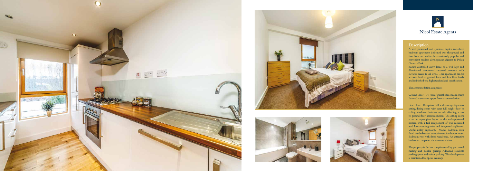



# Nicol Estate Agents

## **Description**

A well presented and spacious duplex two/three bedroom apartment is formed over the ground and first floor, set within this continually popular and convenient modern development adjacent to Pollok Country Park.

Secure controlled entry leads to a well-kept and illuminated communal carpeted entrance with elevator access to all levels. This apartment can be accessed both at ground floor and first floor levels and is finished to a high standard and specification.

The accommodation comprises:

Ground Floor: TV room/ guest bedroom and study. Internal staircase to upper floor accommodation.

First Floor: Reception hall with storage. Spacious sitting/dining room with near full height floor to ceiling windows. Staircase to side affording access to ground floor accommodation. The sitting room is on an open plan layout to the well-appointed kitchen with a full complement of wall mounted and floor standing units and integrated appliances. Useful utility cupboard. Master bedroom with fitted wardrobes and attractive ensuite shower room. Bedroom two with fitted wardrobes. An attractive bathroom completes the accommodation.

The property is further complimented by gas central heating and double glazing. Allocated residents parking space and visitor parking. The development is maintained by Speirs Gumley.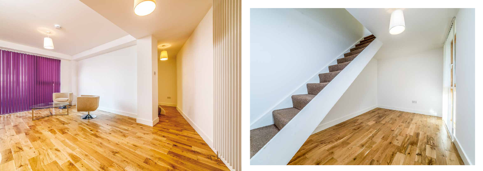